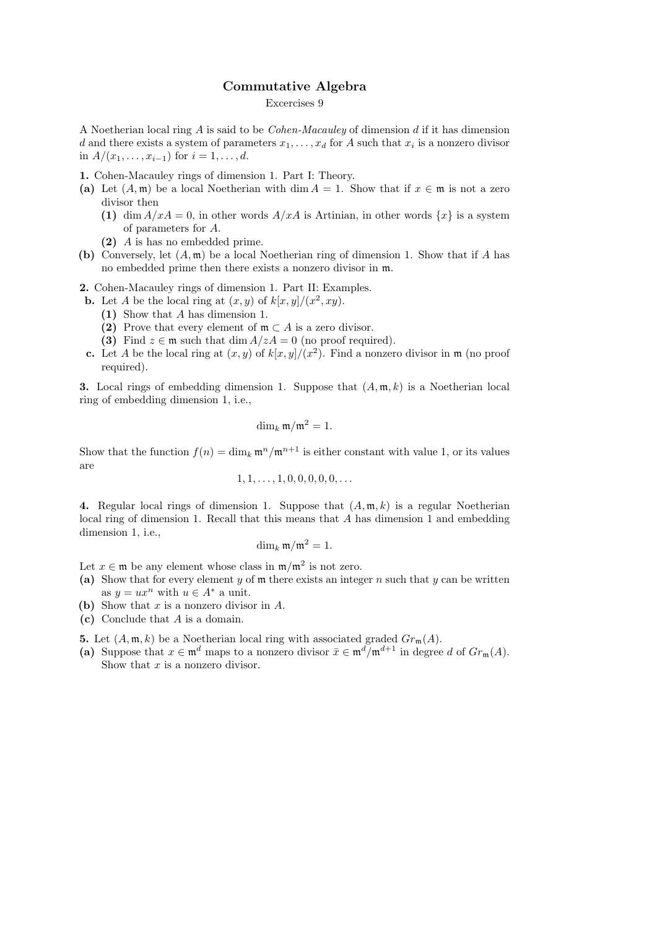## Commutative Algebra

## Excercises 9

A Noetherian local ring A is said to be Cohen-Macauley of dimension d if it has dimension d and there exists a system of parameters  $x_1, \ldots, x_d$  for A such that  $x_i$  is a nonzero divisor in  $A/(x_1, \ldots, x_{i-1})$  for  $i = 1, \ldots, d$ .

- 1. Cohen-Macauley rings of dimension 1. Part I: Theory.
- (a) Let  $(A, \mathfrak{m})$  be a local Noetherian with dim  $A = 1$ . Show that if  $x \in \mathfrak{m}$  is not a zero divisor then
	- (1) dim  $A/xA = 0$ , in other words  $A/xA$  is Artinian, in other words  $\{x\}$  is a system of parameters for A.
	- (2) A is has no embedded prime.
- (b) Conversely, let  $(A, \mathfrak{m})$  be a local Noetherian ring of dimension 1. Show that if A has no embedded prime then there exists a nonzero divisor in m.
- 2. Cohen-Macauley rings of dimension 1. Part II: Examples.
	- **b.** Let A be the local ring at  $(x, y)$  of  $k[x, y]/(x^2, xy)$ .
		- (1) Show that A has dimension 1.
		- (2) Prove that every element of  $\mathfrak{m} \subset A$  is a zero divisor.
		- (3) Find  $z \in \mathfrak{m}$  such that dim  $A/zA = 0$  (no proof required).
	- **c.** Let A be the local ring at  $(x, y)$  of  $k[x, y]/(x^2)$ . Find a nonzero divisor in m (no proof required).

**3.** Local rings of embedding dimension 1. Suppose that  $(A, \mathfrak{m}, k)$  is a Noetherian local ring of embedding dimension 1, i.e.,

$$
\dim_k \mathfrak{m}/\mathfrak{m}^2 = 1.
$$

Show that the function  $f(n) = \dim_k \mathfrak{m}^n / \mathfrak{m}^{n+1}$  is either constant with value 1, or its values are

$$
1, 1, \ldots, 1, 0, 0, 0, 0, 0, \ldots
$$

4. Regular local rings of dimension 1. Suppose that  $(A, \mathfrak{m}, k)$  is a regular Noetherian local ring of dimension 1. Recall that this means that A has dimension 1 and embedding dimension 1, i.e.,

$$
\dim_k \mathfrak{m}/\mathfrak{m}^2=1.
$$

Let  $x \in \mathfrak{m}$  be any element whose class in  $\mathfrak{m}/\mathfrak{m}^2$  is not zero.

- (a) Show that for every element y of  $m$  there exists an integer n such that y can be written as  $y = ux^n$  with  $u \in A^*$  a unit.
- (b) Show that  $x$  is a nonzero divisor in  $A$ .
- (c) Conclude that A is a domain.

5. Let  $(A, \mathfrak{m}, k)$  be a Noetherian local ring with associated graded  $Gr_{\mathfrak{m}}(A)$ .

(a) Suppose that  $x \in \mathfrak{m}^d$  maps to a nonzero divisor  $\bar{x} \in \mathfrak{m}^d/\mathfrak{m}^{d+1}$  in degree d of  $Gr_{\mathfrak{m}}(A)$ . Show that  $x$  is a nonzero divisor.